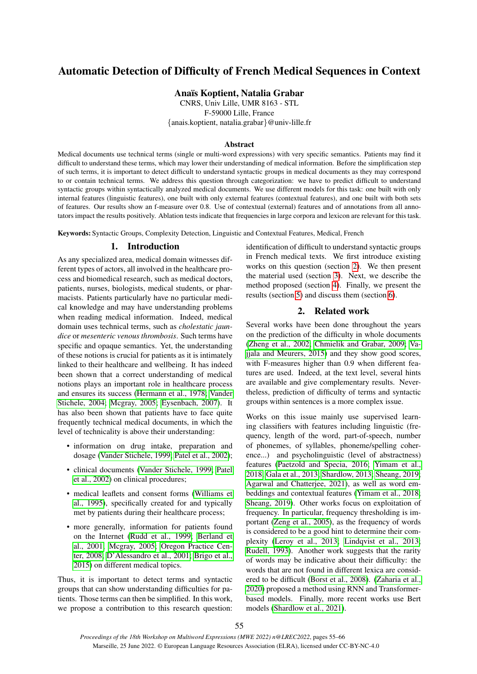# Automatic Detection of Difficulty of French Medical Sequences in Context

Ana¨ıs Koptient, Natalia Grabar

CNRS, Univ Lille, UMR 8163 - STL F-59000 Lille, France {anais.koptient, natalia.grabar}@univ-lille.fr

## Abstract

Medical documents use technical terms (single or multi-word expressions) with very specific semantics. Patients may find it difficult to understand these terms, which may lower their understanding of medical information. Before the simplification step of such terms, it is important to detect difficult to understand syntactic groups in medical documents as they may correspond to or contain technical terms. We address this question through categorization: we have to predict difficult to understand syntactic groups within syntactically analyzed medical documents. We use different models for this task: one built with only internal features (linguistic features), one built with only external features (contextual features), and one built with both sets of features. Our results show an f-measure over 0.8. Use of contextual (external) features and of annotations from all annotators impact the results positively. Ablation tests indicate that frequencies in large corpora and lexicon are relevant for this task.

Keywords: Syntactic Groups, Complexity Detection, Linguistic and Contextual Features, Medical, French

# 1. Introduction

As any specialized area, medical domain witnesses different types of actors, all involved in the healthcare process and biomedical research, such as medical doctors, patients, nurses, biologists, medical students, or pharmacists. Patients particularly have no particular medical knowledge and may have understanding problems when reading medical information. Indeed, medical domain uses technical terms, such as *cholestatic jaundice* or *mesenteric venous thrombosis*. Such terms have specific and opaque semantics. Yet, the understanding of these notions is crucial for patients as it is intimately linked to their healthcare and wellbeing. It has indeed been shown that a correct understanding of medical notions plays an important role in healthcare process and ensures its success [\(Hermann et al., 1978;](#page-9-0) [Vander](#page-10-0) [Stichele, 2004;](#page-10-0) [Mcgray, 2005;](#page-9-1) [Eysenbach, 2007\)](#page-9-2). It has also been shown that patients have to face quite frequently technical medical documents, in which the level of technicality is above their understanding:

- information on drug intake, preparation and dosage [\(Vander Stichele, 1999;](#page-10-1) [Patel et al., 2002\)](#page-10-2);
- clinical documents [\(Vander Stichele, 1999;](#page-10-1) [Patel](#page-10-2) [et al., 2002\)](#page-10-2) on clinical procedures;
- medical leaflets and consent forms [\(Williams et](#page-10-3) [al., 1995\)](#page-10-3), specifically created for and typically met by patients during their healthcare process;
- more generally, information for patients found on the Internet [\(Rudd et al., 1999;](#page-10-4) [Berland et](#page-8-0) [al., 2001;](#page-8-0) [Mcgray, 2005;](#page-9-1) [Oregon Practice Cen](#page-10-5)[ter, 2008;](#page-10-5) [D'Alessandro et al., 2001;](#page-9-3) [Brigo et al.,](#page-9-4) [2015\)](#page-9-4) on different medical topics.

Thus, it is important to detect terms and syntactic groups that can show understanding difficulties for patients. Those terms can then be simplified. In this work, we propose a contribution to this research question: identification of difficult to understand syntactic groups in French medical texts. We first introduce existing works on this question (section [2\)](#page-0-0). We then present the material used (section [3\)](#page-1-0). Next, we describe the method proposed (section [4\)](#page-3-0). Finally, we present the results (section [5\)](#page-4-0) and discuss them (section [6\)](#page-5-0).

# 2. Related work

<span id="page-0-0"></span>Several works have been done throughout the years on the prediction of the difficulty in whole documents [\(Zheng et al., 2002;](#page-10-6) [Chmielik and Grabar, 2009;](#page-9-5) [Va](#page-10-7)[jjala and Meurers, 2015\)](#page-10-7) and they show good scores, with F-measures higher than 0.9 when different features are used. Indeed, at the text level, several hints are available and give complementary results. Nevertheless, prediction of difficulty of terms and syntactic groups within sentences is a more complex issue.

Works on this issue mainly use supervised learning classifiers with features including linguistic (frequency, length of the word, part-of-speech, number of phonemes, of syllables, phoneme/spelling coherence...) and psycholinguistic (level of abstractness) features [\(Paetzold and Specia, 2016;](#page-10-8) [Yimam et al.,](#page-10-9) [2018;](#page-10-9) [Gala et al., 2013;](#page-9-6) [Shardlow, 2013;](#page-10-10) [Sheang, 2019;](#page-10-11) [Agarwal and Chatterjee, 2021\)](#page-8-1), as well as word embeddings and contextual features [\(Yimam et al., 2018;](#page-10-9) [Sheang, 2019\)](#page-10-11). Other works focus on exploitation of frequency. In particular, frequency thresholding is important [\(Zeng et al., 2005\)](#page-10-12), as the frequency of words is considered to be a good hint to determine their complexity [\(Leroy et al., 2013;](#page-9-7) [Lindqvist et al., 2013;](#page-9-8) [Rudell, 1993\)](#page-10-13). Another work suggests that the rarity of words may be indicative about their difficulty: the words that are not found in different lexica are considered to be difficult [\(Borst et al., 2008\)](#page-9-9). [\(Zaharia et al.,](#page-10-14) [2020\)](#page-10-14) proposed a method using RNN and Transformerbased models. Finally, more recent works use Bert models [\(Shardlow et al., 2021\)](#page-10-15).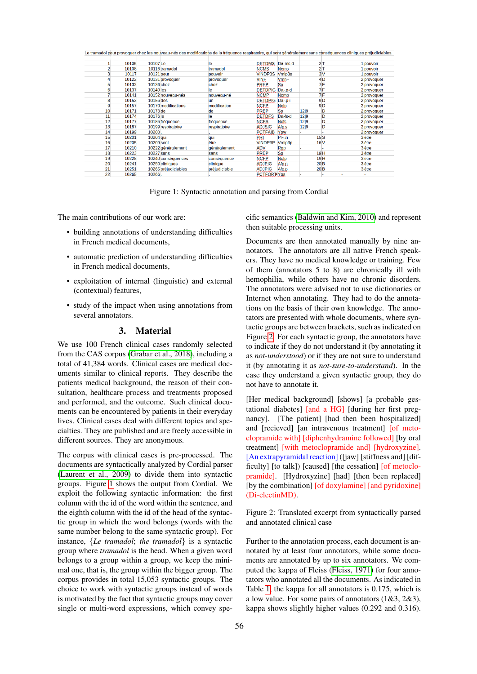|    |       |           |                      | Le tramadol peut provoquer chez les nouveau-nes des modifications de la frequence respiratoire, qui sont generalement sans consequences cliniques prejudiciables. |                        |             |                 |                |             |
|----|-------|-----------|----------------------|-------------------------------------------------------------------------------------------------------------------------------------------------------------------|------------------------|-------------|-----------------|----------------|-------------|
|    | 10105 | 10107 Le  |                      | le                                                                                                                                                                | <b>DETDMS</b>          | Da-ms-d     |                 | 2T             | 1 pouvoir   |
|    |       |           |                      |                                                                                                                                                                   |                        |             |                 |                |             |
|    | 10108 |           | 10116 tramadol       | tramadol                                                                                                                                                          | <b>NCMS</b>            | <b>Ncms</b> |                 | 2T             | 1 pouvoir   |
|    | 10117 |           | 10121 peut           | pouvoir                                                                                                                                                           | <b>VINDP3S</b>         | Vmip3s      |                 | 3V             | 1 pouvoir   |
|    | 10122 |           | 10131 provoquer      | provoquer                                                                                                                                                         | VINF                   | $V$ mn $-$  |                 | 4 <sub>D</sub> | 2 provoquer |
|    | 10132 |           | 10136 chez           | chez                                                                                                                                                              | <b>PREP</b>            | Sp          |                 | 7F             | 2 provoquer |
|    | 10137 | 10140 les |                      | le                                                                                                                                                                | <b>DETDPIG</b>         | $Da-p-d$    |                 | 7 F            | 2 provoquer |
|    | 10141 |           | 10152 nouveau-nés    | nouveau-né                                                                                                                                                        | <b>NCMP</b>            | Ncmp        |                 | 7F             | 2 provoquer |
|    | 10153 | 10156 des |                      | un                                                                                                                                                                | <b>DETDPIG Da-.p-i</b> |             |                 | 9 <sub>D</sub> | 2 provoquer |
|    | 10157 |           | 10170 modifications  | modification                                                                                                                                                      | <b>NCFP</b>            | Ncfp        |                 | 9 <sub>D</sub> | 2 provoquer |
| 10 | 10171 | 10173 de  |                      | de                                                                                                                                                                | <b>PREP</b>            | Sp          | 12 9            | D              | 2 provoquer |
| 11 | 10174 | 10176 la  |                      | le                                                                                                                                                                | <b>DETDFS</b>          | Da-fs-d     | 1219            | D              | 2 provoquer |
| 12 | 10177 |           | 10186 fréquence      | fréauence                                                                                                                                                         | <b>NCFS</b>            | <b>Ncfs</b> | 12 9            | D              | 2 provoquer |
| 13 | 10187 |           | 10199 respiratoire   | respiratoire                                                                                                                                                      | <b>ADJSIG</b>          | Afp.s       | 12 9            | D              | 2 provoquer |
| 14 | 10199 | 10200,    |                      |                                                                                                                                                                   | <b>PCTFAIB</b>         | Ypw         |                 |                | 2 provoquer |
| 15 | 10201 | 10204 aui |                      | qui                                                                                                                                                               | <b>PRI</b>             | Pr-n        | 15S             |                | 3 être      |
| 16 | 10205 |           | 10209 sont           | être                                                                                                                                                              | <b>VINDP3P</b>         | Vmip3p      | <b>16V</b>      |                | 3 être      |
| 17 | 10210 |           | 10222 généralement   | <i>généralement</i>                                                                                                                                               | <b>ADV</b>             | Rgp         |                 |                | 3 être      |
| 18 | 10223 |           | <b>10227 sans</b>    | sans                                                                                                                                                              | PREP.                  | Sp.         | 19 <sub>H</sub> |                | 3 être      |
| 19 | 10228 |           | 10240 conséquences   | conséquence                                                                                                                                                       | <b>NCFP</b>            | <b>Ncfp</b> | 19 <sub>H</sub> |                | 3 être      |
| 20 | 10241 |           | 10250 cliniques      | clinique                                                                                                                                                          | <b>ADJPIG</b>          | Afp.p       | 20 <sub>B</sub> |                | 3 être      |
| 21 | 10251 |           | 10265 préjudiciables | préjudiciable                                                                                                                                                     | <b>ADJPIG</b>          | Afp.p       | 20 <sub>B</sub> |                | 3 être      |
| 22 | 10265 | 10266.    |                      |                                                                                                                                                                   | <b>PCTFORT Yps</b>     |             |                 |                |             |

<span id="page-1-1"></span>Figure 1: Syntactic annotation and parsing from Cordial

The main contributions of our work are:

- building annotations of understanding difficulties in French medical documents,
- automatic prediction of understanding difficulties in French medical documents,
- exploitation of internal (linguistic) and external (contextual) features,
- <span id="page-1-0"></span>• study of the impact when using annotations from several annotators.

## 3. Material

We use 100 French clinical cases randomly selected from the CAS corpus [\(Grabar et al., 2018\)](#page-9-10), including a total of 41,384 words. Clinical cases are medical documents similar to clinical reports. They describe the patients medical background, the reason of their consultation, healthcare process and treatments proposed and performed, and the outcome. Such clinical documents can be encountered by patients in their everyday lives. Clinical cases deal with different topics and specialties. They are published and are freely accessible in different sources. They are anonymous.

The corpus with clinical cases is pre-processed. The documents are syntactically analyzed by Cordial parser [\(Laurent et al., 2009\)](#page-9-11) to divide them into syntactic groups. Figure [1](#page-1-1) shows the output from Cordial. We exploit the following syntactic information: the first column with the id of the word within the sentence, and the eighth column with the id of the head of the syntactic group in which the word belongs (words with the same number belong to the same syntactic group). For instance, {*Le tramadol*; *the tramadol*} is a syntactic group where *tramadol* is the head. When a given word belongs to a group within a group, we keep the minimal one, that is, the group within the bigger group. The corpus provides in total 15,053 syntactic groups. The choice to work with syntactic groups instead of words is motivated by the fact that syntactic groups may cover single or multi-word expressions, which convey specific semantics [\(Baldwin and Kim, 2010\)](#page-8-2) and represent then suitable processing units.

Documents are then annotated manually by nine annotators. The annotators are all native French speakers. They have no medical knowledge or training. Few of them (annotators 5 to 8) are chronically ill with hemophilia, while others have no chronic disorders. The annotators were advised not to use dictionaries or Internet when annotating. They had to do the annotations on the basis of their own knowledge. The annotators are presented with whole documents, where syntactic groups are between brackets, such as indicated on Figure [2.](#page-1-2) For each syntactic group, the annotators have to indicate if they do not understand it (by annotating it as *not-understood*) or if they are not sure to understand it (by annotating it as *not-sure-to-understand*). In the case they understand a given syntactic group, they do not have to annotate it.

[Her medical background] [shows] [a probable gestational diabetes] [and a HG] [during her first pregnancy]. [The patient] [had then been hospitalized] and [recieved] [an intravenous treatment] [of metoclopramide with] [diphenhydramine followed] [by oral treatment] [with metoclopramide and] [hydroxyzine]. [An extrapyramidal reaction] ([jaw] [stiffness and] [difficulty] [to talk]) [caused] [the cessation] [of metoclopramide]. [Hydroxyzine] [had] [then been replaced] [by the combination] [of doxylamine] [and pyridoxine] (Di-clectinMD).

<span id="page-1-2"></span>Figure 2: Translated excerpt from syntactically parsed and annotated clinical case

Further to the annotation process, each document is annotated by at least four annotators, while some documents are annotated by up to six annotators. We computed the kappa of Fleiss [\(Fleiss, 1971\)](#page-9-12) for four annotators who annotated all the documents. As indicated in Table [1,](#page-2-0) the kappa for all annotators is 0.175, which is a low value. For some pairs of annotators  $(1&3, 2&3)$ , kappa shows slightly higher values (0.292 and 0.316).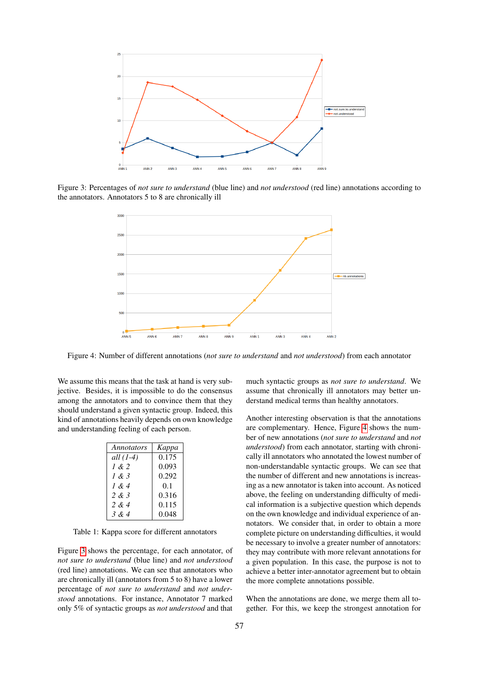

Figure 3: Percentages of *not sure to understand* (blue line) and *not understood* (red line) annotations according to the annotators. Annotators 5 to 8 are chronically ill

<span id="page-2-1"></span>

<span id="page-2-2"></span>Figure 4: Number of different annotations (*not sure to understand* and *not understood*) from each annotator

We assume this means that the task at hand is very subjective. Besides, it is impossible to do the consensus among the annotators and to convince them that they should understand a given syntactic group. Indeed, this kind of annotations heavily depends on own knowledge and understanding feeling of each person.

| Annotators | Kappa |
|------------|-------|
| all (1-4)  | 0.175 |
| 1 & 2      | 0.093 |
| 1 & 3      | 0.292 |
| 1 & 4      | 0.1   |
| 2 & 3      | 0.316 |
| 2 & $4$    | 0.115 |
| 3 & 4      | 0.048 |

<span id="page-2-0"></span>Table 1: Kappa score for different annotators

Figure [3](#page-2-1) shows the percentage, for each annotator, of *not sure to understand* (blue line) and *not understood* (red line) annotations. We can see that annotators who are chronically ill (annotators from 5 to 8) have a lower percentage of *not sure to understand* and *not understood* annotations. For instance, Annotator 7 marked only 5% of syntactic groups as *not understood* and that much syntactic groups as *not sure to understand*. We assume that chronically ill annotators may better understand medical terms than healthy annotators.

Another interesting observation is that the annotations are complementary. Hence, Figure [4](#page-2-2) shows the number of new annotations (*not sure to understand* and *not understood*) from each annotator, starting with chronically ill annotators who annotated the lowest number of non-understandable syntactic groups. We can see that the number of different and new annotations is increasing as a new annotator is taken into account. As noticed above, the feeling on understanding difficulty of medical information is a subjective question which depends on the own knowledge and individual experience of annotators. We consider that, in order to obtain a more complete picture on understanding difficulties, it would be necessary to involve a greater number of annotators: they may contribute with more relevant annotations for a given population. In this case, the purpose is not to achieve a better inter-annotator agreement but to obtain the more complete annotations possible.

When the annotations are done, we merge them all together. For this, we keep the strongest annotation for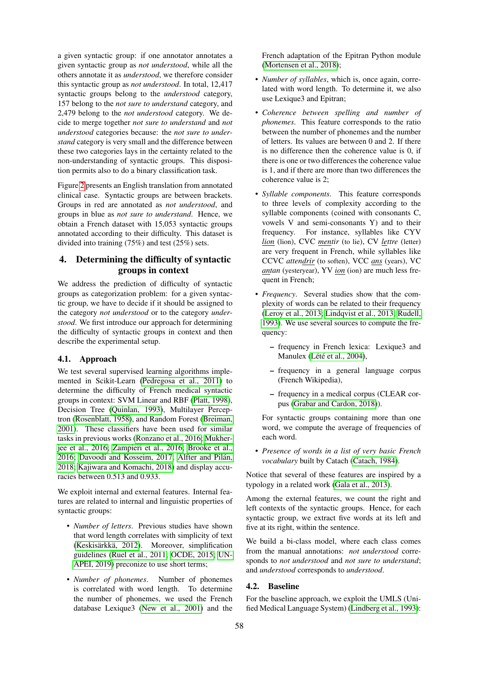a given syntactic group: if one annotator annotates a given syntactic group as *not understood*, while all the others annotate it as *understood*, we therefore consider this syntactic group as *not understood*. In total, 12,417 syntactic groups belong to the *understood* category, 157 belong to the *not sure to understand* category, and 2,479 belong to the *not understood* category. We decide to merge together *not sure to understand* and *not understood* categories because: the *not sure to understand* category is very small and the difference between these two categories lays in the certainty related to the non-understanding of syntactic groups. This disposition permits also to do a binary classification task.

Figure [2](#page-1-2) presents an English translation from annotated clinical case. Syntactic groups are between brackets. Groups in red are annotated as *not understood*, and groups in blue as *not sure to understand*. Hence, we obtain a French dataset with 15,053 syntactic groups annotated according to their difficulty. This dataset is divided into training (75%) and test (25%) sets.

# <span id="page-3-0"></span>4. Determining the difficulty of syntactic groups in context

We address the prediction of difficulty of syntactic groups as categorization problem: for a given syntactic group, we have to decide if it should be assigned to the category *not understood* or to the category *understood*. We first introduce our approach for determining the difficulty of syntactic groups in context and then describe the experimental setup.

# 4.1. Approach

We test several supervised learning algorithms implemented in Scikit-Learn [\(Pedregosa et al., 2011\)](#page-10-16) to determine the difficulty of French medical syntactic groups in context: SVM Linear and RBF [\(Platt, 1998\)](#page-10-17), Decision Tree [\(Quinlan, 1993\)](#page-10-18), Multilayer Perceptron [\(Rosenblatt, 1958\)](#page-10-19), and Random Forest [\(Breiman,](#page-9-13) [2001\)](#page-9-13). These classifiers have been used for similar tasks in previous works [\(Ronzano et al., 2016;](#page-10-20) [Mukher](#page-9-14)[jee et al., 2016;](#page-9-14) [Zampieri et al., 2016;](#page-10-21) [Brooke et al.,](#page-9-15) [2016;](#page-9-15) [Davoodi and Kosseim, 2017;](#page-9-16) Alfter and Pilán, [2018;](#page-8-3) [Kajiwara and Komachi, 2018\)](#page-9-17) and display accuracies between 0.513 and 0.933.

We exploit internal and external features. Internal features are related to internal and linguistic properties of syntactic groups:

- *Number of letters*. Previous studies have shown that word length correlates with simplicity of text (Keskisärkkä, 2012). Moreover, simplification guidelines [\(Ruel et al., 2011;](#page-10-22) [OCDE, 2015;](#page-10-23) [UN-](#page-10-24)[APEI, 2019\)](#page-10-24) preconize to use short terms;
- *Number of phonemes*. Number of phonemes is correlated with word length. To determine the number of phonemes, we used the French database Lexique3 [\(New et al., 2001\)](#page-10-25) and the

French adaptation of the Epitran Python module [\(Mortensen et al., 2018\)](#page-9-19);

- *Number of syllables*, which is, once again, correlated with word length. To determine it, we also use Lexique3 and Epitran;
- *Coherence between spelling and number of phonemes*. This feature corresponds to the ratio between the number of phonemes and the number of letters. Its values are between 0 and 2. If there is no difference then the coherence value is 0, if there is one or two differences the coherence value is 1, and if there are more than two differences the coherence value is 2;
- *Syllable components*. This feature corresponds to three levels of complexity according to the syllable components (coined with consonants C, vowels V and semi-consonants Y) and to their frequency. For instance, syllables like CYV *lion* (lion), CVC *mentir* (to lie), CV *lettre* (letter) are very frequent in French, while syllables like CCVC *attendrir* (to soften), VCC *ans* (years), VC *antan* (yesteryear), YV *ion* (ion) are much less frequent in French;
- *Frequency*. Several studies show that the complexity of words can be related to their frequency [\(Leroy et al., 2013;](#page-9-7) [Lindqvist et al., 2013;](#page-9-8) [Rudell,](#page-10-13) [1993\)](#page-10-13). We use several sources to compute the frequency:
	- frequency in French lexica: Lexique3 and Manulex (Lété et al., 2004),
	- frequency in a general language corpus (French Wikipedia),
	- frequency in a medical corpus (CLEAR corpus [\(Grabar and Cardon, 2018\)](#page-9-21)).

For syntactic groups containing more than one word, we compute the average of frequencies of each word.

• *Presence of words in a list of very basic French vocabulary* built by Catach [\(Catach, 1984\)](#page-9-22).

Notice that several of these features are inspired by a typology in a related work [\(Gala et al., 2013\)](#page-9-6).

Among the external features, we count the right and left contexts of the syntactic groups. Hence, for each syntactic group, we extract five words at its left and five at its right, within the sentence.

We build a bi-class model, where each class comes from the manual annotations: *not understood* corresponds to *not understood* and *not sure to understand*; and *understood* corresponds to *understood*.

## 4.2. Baseline

For the baseline approach, we exploit the UMLS (Unified Medical Language System) [\(Lindberg et al., 1993\)](#page-9-23):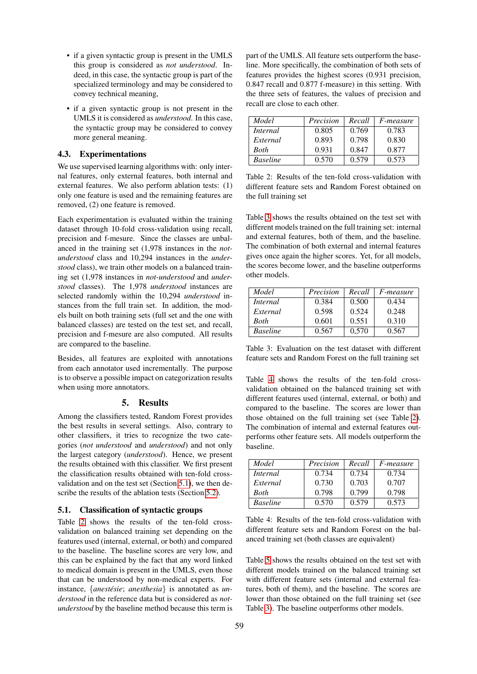- if a given syntactic group is present in the UMLS this group is considered as *not understood*. Indeed, in this case, the syntactic group is part of the specialized terminology and may be considered to convey technical meaning,
- if a given syntactic group is not present in the UMLS it is considered as *understood*. In this case, the syntactic group may be considered to convey more general meaning.

## 4.3. Experimentations

We use supervised learning algorithms with: only internal features, only external features, both internal and external features. We also perform ablation tests: (1) only one feature is used and the remaining features are removed, (2) one feature is removed.

Each experimentation is evaluated within the training dataset through 10-fold cross-validation using recall, precision and f-mesure. Since the classes are unbalanced in the training set (1,978 instances in the *notunderstood* class and 10,294 instances in the *understood* class), we train other models on a balanced training set (1,978 instances in *not-understood* and *understood* classes). The 1,978 *understood* instances are selected randomly within the 10,294 *understood* instances from the full train set. In addition, the models built on both training sets (full set and the one with balanced classes) are tested on the test set, and recall, precision and f-mesure are also computed. All results are compared to the baseline.

Besides, all features are exploited with annotations from each annotator used incrementally. The purpose is to observe a possible impact on categorization results when using more annotators.

#### 5. Results

<span id="page-4-0"></span>Among the classifiers tested, Random Forest provides the best results in several settings. Also, contrary to other classifiers, it tries to recognize the two categories (*not understood* and *understood*) and not only the largest category (*understood*). Hence, we present the results obtained with this classifier. We first present the classification results obtained with ten-fold crossvalidation and on the test set (Section [5.1\)](#page-4-1), we then describe the results of the ablation tests (Section [5.2\)](#page-5-1).

#### <span id="page-4-1"></span>5.1. Classification of syntactic groups

Table [2](#page-4-2) shows the results of the ten-fold crossvalidation on balanced training set depending on the features used (internal, external, or both) and compared to the baseline. The baseline scores are very low, and this can be explained by the fact that any word linked to medical domain is present in the UMLS, even those that can be understood by non-medical experts. For instance, {*anestésie*; *anesthesia*} is annotated as *understood* in the reference data but is considered as *notunderstood* by the baseline method because this term is part of the UMLS. All feature sets outperform the baseline. More specifically, the combination of both sets of features provides the highest scores (0.931 precision, 0.847 recall and 0.877 f-measure) in this setting. With the three sets of features, the values of precision and recall are close to each other.

| Model           | Precision | Recall | <i>F-measure</i> |
|-----------------|-----------|--------|------------------|
| Internal        | 0.805     | 0.769  | 0.783            |
| External        | 0.893     | 0.798  | 0.830            |
| <b>Both</b>     | 0.931     | 0.847  | 0.877            |
| <b>Baseline</b> | 0.570     | 0.579  | 0.573            |

<span id="page-4-2"></span>Table 2: Results of the ten-fold cross-validation with different feature sets and Random Forest obtained on the full training set

Table [3](#page-4-3) shows the results obtained on the test set with different models trained on the full training set: internal and external features, both of them, and the baseline. The combination of both external and internal features gives once again the higher scores. Yet, for all models, the scores become lower, and the baseline outperforms other models.

| Model           | Precision | Recall | F-measure |
|-----------------|-----------|--------|-----------|
| Internal        | 0.384     | 0.500  | 0.434     |
| External        | 0.598     | 0.524  | 0.248     |
| Both            | 0.601     | 0.551  | 0.310     |
| <b>Baseline</b> | 0.567     | 0.570  | 0.567     |

<span id="page-4-3"></span>Table 3: Evaluation on the test dataset with different feature sets and Random Forest on the full training set

Table [4](#page-4-4) shows the results of the ten-fold crossvalidation obtained on the balanced training set with different features used (internal, external, or both) and compared to the baseline. The scores are lower than those obtained on the full training set (see Table [2\)](#page-4-2). The combination of internal and external features outperforms other feature sets. All models outperform the baseline.

| Model           | Precision | Recall | <i>F-measure</i> |
|-----------------|-----------|--------|------------------|
| <i>Internal</i> | 0.734     | 0.734  | 0.734            |
| External        | 0.730     | 0.703  | 0.707            |
| <b>Both</b>     | 0.798     | 0.799  | 0.798            |
| <b>Baseline</b> | 0.570     | 0.579  | 0.573            |

<span id="page-4-4"></span>Table 4: Results of the ten-fold cross-validation with different feature sets and Random Forest on the balanced training set (both classes are equivalent)

Table [5](#page-5-2) shows the results obtained on the test set with different models trained on the balanced training set with different feature sets (internal and external features, both of them), and the baseline. The scores are lower than those obtained on the full training set (see Table [3\)](#page-4-3). The baseline outperforms other models.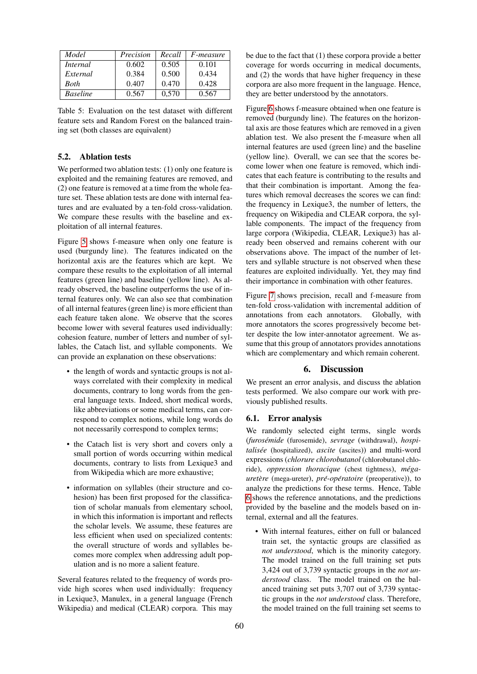| Model           | Precision | Recall | <i>F-measure</i> |
|-----------------|-----------|--------|------------------|
| <i>Internal</i> | 0.602     | 0.505  | 0.101            |
| External        | 0.384     | 0.500  | 0.434            |
| <b>Both</b>     | 0.407     | 0.470  | 0.428            |
| <b>Baseline</b> | 0.567     | 0,570  | 0.567            |

<span id="page-5-2"></span>Table 5: Evaluation on the test dataset with different feature sets and Random Forest on the balanced training set (both classes are equivalent)

# <span id="page-5-1"></span>5.2. Ablation tests

We performed two ablation tests: (1) only one feature is exploited and the remaining features are removed, and (2) one feature is removed at a time from the whole feature set. These ablation tests are done with internal features and are evaluated by a ten-fold cross-validation. We compare these results with the baseline and exploitation of all internal features.

Figure [5](#page-6-0) shows f-measure when only one feature is used (burgundy line). The features indicated on the horizontal axis are the features which are kept. We compare these results to the exploitation of all internal features (green line) and baseline (yellow line). As already observed, the baseline outperforms the use of internal features only. We can also see that combination of all internal features (green line) is more efficient than each feature taken alone. We observe that the scores become lower with several features used individually: cohesion feature, number of letters and number of syllables, the Catach list, and syllable components. We can provide an explanation on these observations:

- the length of words and syntactic groups is not always correlated with their complexity in medical documents, contrary to long words from the general language texts. Indeed, short medical words, like abbreviations or some medical terms, can correspond to complex notions, while long words do not necessarily correspond to complex terms;
- the Catach list is very short and covers only a small portion of words occurring within medical documents, contrary to lists from Lexique3 and from Wikipedia which are more exhaustive;
- information on syllables (their structure and cohesion) has been first proposed for the classification of scholar manuals from elementary school, in which this information is important and reflects the scholar levels. We assume, these features are less efficient when used on specialized contents: the overall structure of words and syllables becomes more complex when addressing adult population and is no more a salient feature.

Several features related to the frequency of words provide high scores when used individually: frequency in Lexique3, Manulex, in a general language (French Wikipedia) and medical (CLEAR) corpora. This may be due to the fact that (1) these corpora provide a better coverage for words occurring in medical documents, and (2) the words that have higher frequency in these corpora are also more frequent in the language. Hence, they are better understood by the annotators.

Figure [6](#page-6-1) shows f-measure obtained when one feature is removed (burgundy line). The features on the horizontal axis are those features which are removed in a given ablation test. We also present the f-measure when all internal features are used (green line) and the baseline (yellow line). Overall, we can see that the scores become lower when one feature is removed, which indicates that each feature is contributing to the results and that their combination is important. Among the features which removal decreases the scores we can find: the frequency in Lexique3, the number of letters, the frequency on Wikipedia and CLEAR corpora, the syllable components. The impact of the frequency from large corpora (Wikipedia, CLEAR, Lexique3) has already been observed and remains coherent with our observations above. The impact of the number of letters and syllable structure is not observed when these features are exploited individually. Yet, they may find their importance in combination with other features.

Figure [7](#page-7-0) shows precision, recall and f-measure from ten-fold cross-validation with incremental addition of annotations from each annotators. Globally, with more annotators the scores progressively become better despite the low inter-annotator agreement. We assume that this group of annotators provides annotations which are complementary and which remain coherent.

## 6. Discussion

<span id="page-5-0"></span>We present an error analysis, and discuss the ablation tests performed. We also compare our work with previously published results.

## 6.1. Error analysis

We randomly selected eight terms, single words (*furosemide ´* (furosemide), *sevrage* (withdrawal), *hospitalisee´* (hospitalized), *ascite* (ascites)) and multi-word expressions (*chlorure chlorobutanol* (chlorobutanol chloride), *oppression thoracique* (chest tightness),  $m\notin g$ *auretère* (mega-ureter), *pré-opératoire* (preoperative)), to analyze the predictions for these terms. Hence, Table [6](#page-7-1) shows the reference annotations, and the predictions provided by the baseline and the models based on internal, external and all the features.

• With internal features, either on full or balanced train set, the syntactic groups are classified as *not understood*, which is the minority category. The model trained on the full training set puts 3,424 out of 3,739 syntactic groups in the *not understood* class. The model trained on the balanced training set puts 3,707 out of 3,739 syntactic groups in the *not understood* class. Therefore, the model trained on the full training set seems to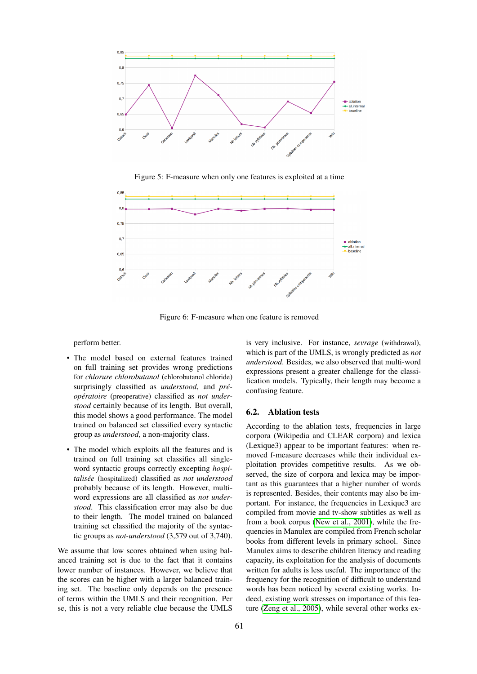

<span id="page-6-0"></span>Figure 5: F-measure when only one features is exploited at a time



<span id="page-6-1"></span>Figure 6: F-measure when one feature is removed

perform better.

- The model based on external features trained on full training set provides wrong predictions for *chlorure chlorobutanol* (chlorobutanol chloride) surprisingly classified as *understood*, and *préoperatoire ´* (preoperative) classified as *not understood* certainly because of its length. But overall, this model shows a good performance. The model trained on balanced set classified every syntactic group as *understood*, a non-majority class.
- The model which exploits all the features and is trained on full training set classifies all singleword syntactic groups correctly excepting *hospitalisee´* (hospitalized) classified as *not understood* probably because of its length. However, multiword expressions are all classified as *not understood*. This classification error may also be due to their length. The model trained on balanced training set classified the majority of the syntactic groups as *not-understood* (3,579 out of 3,740).

We assume that low scores obtained when using balanced training set is due to the fact that it contains lower number of instances. However, we believe that the scores can be higher with a larger balanced training set. The baseline only depends on the presence of terms within the UMLS and their recognition. Per se, this is not a very reliable clue because the UMLS

is very inclusive. For instance, *sevrage* (withdrawal), which is part of the UMLS, is wrongly predicted as *not understood*. Besides, we also observed that multi-word expressions present a greater challenge for the classification models. Typically, their length may become a confusing feature.

#### 6.2. Ablation tests

According to the ablation tests, frequencies in large corpora (Wikipedia and CLEAR corpora) and lexica (Lexique3) appear to be important features: when removed f-measure decreases while their individual exploitation provides competitive results. As we observed, the size of corpora and lexica may be important as this guarantees that a higher number of words is represented. Besides, their contents may also be important. For instance, the frequencies in Lexique3 are compiled from movie and tv-show subtitles as well as from a book corpus [\(New et al., 2001\)](#page-10-25), while the frequencies in Manulex are compiled from French scholar books from different levels in primary school. Since Manulex aims to describe children literacy and reading capacity, its exploitation for the analysis of documents written for adults is less useful. The importance of the frequency for the recognition of difficult to understand words has been noticed by several existing works. Indeed, existing work stresses on importance of this feature [\(Zeng et al., 2005\)](#page-10-12), while several other works ex-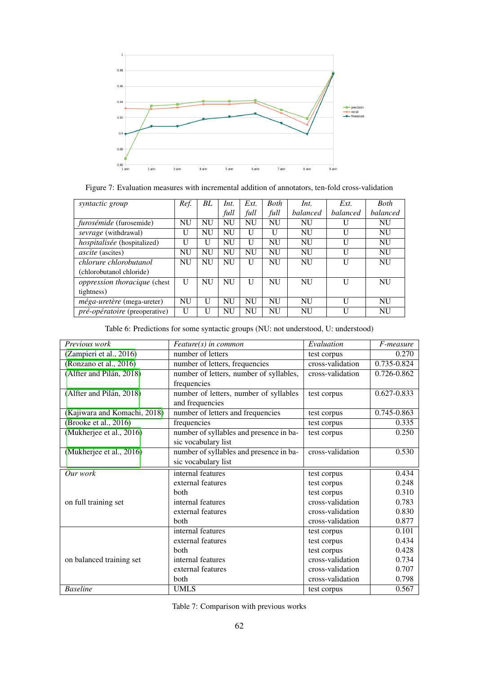

<span id="page-7-0"></span>

| syntactic group                      | Ref.         | BL           | Int.      | Ext.      | <b>Both</b> | Int.      | Ext.     | <b>Both</b> |
|--------------------------------------|--------------|--------------|-----------|-----------|-------------|-----------|----------|-------------|
|                                      |              |              | full      | full      | full        | balanced  | balanced | balanced    |
| furosémide (furosemide)              | <b>NU</b>    | NU           | <b>NU</b> | <b>NU</b> | <b>NU</b>   | <b>NU</b> | U        | <b>NU</b>   |
| sevrage (withdrawal)                 | U            | <b>NU</b>    | <b>NU</b> | U         | H           | <b>NU</b> | U        | <b>NU</b>   |
| hospitalisée (hospitalized)          | $\mathbf{U}$ | U            | <b>NU</b> | U         | <b>NU</b>   | NU        | U        | <b>NU</b>   |
| <i>ascite</i> (ascites)              | <b>NU</b>    | <b>NU</b>    | <b>NU</b> | <b>NU</b> | <b>NU</b>   | <b>NU</b> | U        | <b>NU</b>   |
| chlorure chlorobutanol               | <b>NU</b>    | <b>NU</b>    | <b>NU</b> | U         | NU          | NU        | U        | <b>NU</b>   |
| (chlorobutanol chloride)             |              |              |           |           |             |           |          |             |
| <i>oppression thoracique</i> (chest) | U            | <b>NU</b>    | <b>NU</b> | U         | <b>NU</b>   | NU        | U        | <b>NU</b>   |
| tightness)                           |              |              |           |           |             |           |          |             |
| méga-uretère (mega-ureter)           | <b>NU</b>    | $\mathbf{U}$ | <b>NU</b> | NU        | NU          | NU        | H        | NU          |
| <i>pré-opératoire</i> (preoperative) | U            | U            | NU        | NU        | NU          | <b>NU</b> | H        | NU          |

<span id="page-7-1"></span>

| Table 6: Predictions for some syntactic groups (NU: not understood, U: understood) |  |  |
|------------------------------------------------------------------------------------|--|--|
|                                                                                    |  |  |

| Previous work                | Feature(s) in common                    | Evaluation       | F-measure       |
|------------------------------|-----------------------------------------|------------------|-----------------|
| (Zampieri et al., 2016)      | number of letters                       | test corpus      | 0.270           |
| (Ronzano et al., 2016)       | number of letters, frequencies          | cross-validation | 0.735-0.824     |
| (Alfter and Pilán, 2018)     | number of letters, number of syllables, | cross-validation | 0.726-0.862     |
|                              | frequencies                             |                  |                 |
| (Alfter and Pilán, 2018)     | number of letters, number of syllables  | test corpus      | 0.627-0.833     |
|                              | and frequencies                         |                  |                 |
| (Kajiwara and Komachi, 2018) | number of letters and frequencies       | test corpus      | $0.745 - 0.863$ |
| (Brooke et al., 2016)        | frequencies                             | test corpus      | 0.335           |
| (Mukherjee et al., 2016)     | number of syllables and presence in ba- | test corpus      | 0.250           |
|                              | sic vocabulary list                     |                  |                 |
| (Mukherjee et al., 2016)     | number of syllables and presence in ba- | cross-validation | 0.530           |
|                              | sic vocabulary list                     |                  |                 |
| Our work                     | internal features                       | test corpus      | 0.434           |
|                              | external features                       | test corpus      | 0.248           |
|                              | both                                    | test corpus      | 0.310           |
| on full training set         | internal features                       | cross-validation | 0.783           |
|                              | external features                       | cross-validation | 0.830           |
|                              | <b>both</b>                             | cross-validation | 0.877           |
|                              | internal features                       | test corpus      | 0.101           |
|                              | external features                       | test corpus      | 0.434           |
|                              | both                                    | test corpus      | 0.428           |
| on balanced training set     | internal features                       | cross-validation | 0.734           |
|                              | external features                       | cross-validation | 0.707           |
|                              | both                                    | cross-validation | 0.798           |
| <b>Baseline</b>              | <b>UMLS</b>                             | test corpus      | 0.567           |

<span id="page-7-2"></span>Table 7: Comparison with previous works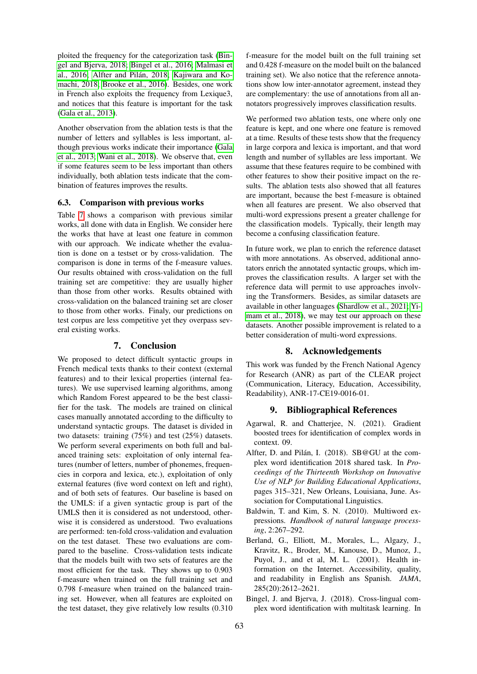ploited the frequency for the categorization task [\(Bin](#page-8-4)[gel and Bjerva, 2018;](#page-8-4) [Bingel et al., 2016;](#page-9-24) [Malmasi et](#page-9-25) [al., 2016;](#page-9-25) Alfter and Pilán, 2018; [Kajiwara and Ko](#page-9-17) [machi, 2018;](#page-9-17) [Brooke et al., 2016\)](#page-9-15). Besides, one work in French also exploits the frequency from Lexique3, and notices that this feature is important for the task [\(Gala et al., 2013\)](#page-9-6).

Another observation from the ablation tests is that the number of letters and syllables is less important, although previous works indicate their importance [\(Gala](#page-9-6) [et al., 2013;](#page-9-6) [Wani et al., 2018\)](#page-10-26). We observe that, even if some features seem to be less important than others individually, both ablation tests indicate that the combination of features improves the results.

## 6.3. Comparison with previous works

Table [7](#page-7-2) shows a comparison with previous similar works, all done with data in English. We consider here the works that have at least one feature in common with our approach. We indicate whether the evaluation is done on a testset or by cross-validation. The comparison is done in terms of the f-measure values. Our results obtained with cross-validation on the full training set are competitive: they are usually higher than those from other works. Results obtained with cross-validation on the balanced training set are closer to those from other works. Finaly, our predictions on test corpus are less competitive yet they overpass several existing works.

# 7. Conclusion

We proposed to detect difficult syntactic groups in French medical texts thanks to their context (external features) and to their lexical properties (internal features). We use supervised learning algorithms, among which Random Forest appeared to be the best classifier for the task. The models are trained on clinical cases manually annotated according to the difficulty to understand syntactic groups. The dataset is divided in two datasets: training (75%) and test (25%) datasets. We perform several experiments on both full and balanced training sets: exploitation of only internal features (number of letters, number of phonemes, frequencies in corpora and lexica, etc.), exploitation of only external features (five word context on left and right), and of both sets of features. Our baseline is based on the UMLS: if a given syntactic group is part of the UMLS then it is considered as not understood, otherwise it is considered as understood. Two evaluations are performed: ten-fold cross-validation and evaluation on the test dataset. These two evaluations are compared to the baseline. Cross-validation tests indicate that the models built with two sets of features are the most efficient for the task. They shows up to 0.903 f-measure when trained on the full training set and 0.798 f-measure when trained on the balanced training set. However, when all features are exploited on the test dataset, they give relatively low results (0.310

f-measure for the model built on the full training set and 0.428 f-measure on the model built on the balanced training set). We also notice that the reference annotations show low inter-annotator agreement, instead they are complementary: the use of annotations from all annotators progressively improves classification results.

We performed two ablation tests, one where only one feature is kept, and one where one feature is removed at a time. Results of these tests show that the frequency in large corpora and lexica is important, and that word length and number of syllables are less important. We assume that these features require to be combined with other features to show their positive impact on the results. The ablation tests also showed that all features are important, because the best f-measure is obtained when all features are present. We also observed that multi-word expressions present a greater challenge for the classification models. Typically, their length may become a confusing classification feature.

In future work, we plan to enrich the reference dataset with more annotations. As observed, additional annotators enrich the annotated syntactic groups, which improves the classification results. A larger set with the reference data will permit to use approaches involving the Transformers. Besides, as similar datasets are available in other languages [\(Shardlow et al., 2021;](#page-10-15) [Yi](#page-10-9)[mam et al., 2018\)](#page-10-9), we may test our approach on these datasets. Another possible improvement is related to a better consideration of multi-word expressions.

## 8. Acknowledgements

This work was funded by the French National Agency for Research (ANR) as part of the CLEAR project (Communication, Literacy, Education, Accessibility, Readability), ANR-17-CE19-0016-01.

## 9. Bibliographical References

- <span id="page-8-1"></span>Agarwal, R. and Chatterjee, N. (2021). Gradient boosted trees for identification of complex words in context. 09.
- <span id="page-8-3"></span>Alfter, D. and Pilán, I. (2018). SB@GU at the complex word identification 2018 shared task. In *Proceedings of the Thirteenth Workshop on Innovative Use of NLP for Building Educational Applications*, pages 315–321, New Orleans, Louisiana, June. Association for Computational Linguistics.
- <span id="page-8-2"></span>Baldwin, T. and Kim, S. N. (2010). Multiword expressions. *Handbook of natural language processing*, 2:267–292.
- <span id="page-8-0"></span>Berland, G., Elliott, M., Morales, L., Algazy, J., Kravitz, R., Broder, M., Kanouse, D., Munoz, J., Puyol, J., and et al, M. L. (2001). Health information on the Internet. Accessibility, quality, and readability in English ans Spanish. *JAMA*, 285(20):2612–2621.
- <span id="page-8-4"></span>Bingel, J. and Bjerva, J. (2018). Cross-lingual complex word identification with multitask learning. In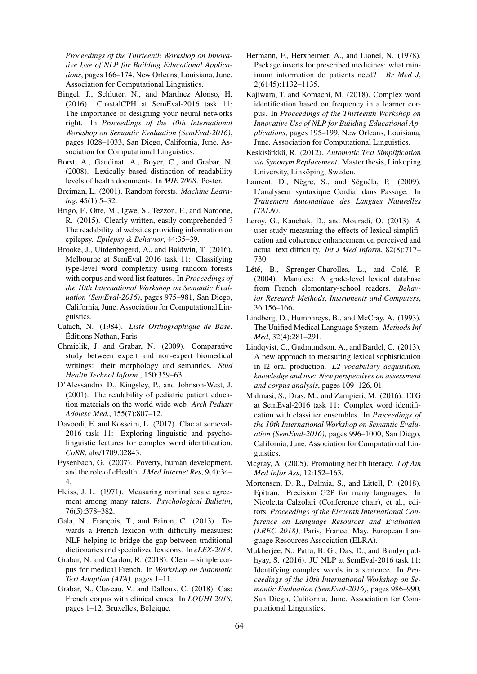*Proceedings of the Thirteenth Workshop on Innovative Use of NLP for Building Educational Applications*, pages 166–174, New Orleans, Louisiana, June. Association for Computational Linguistics.

- <span id="page-9-24"></span>Bingel, J., Schluter, N., and Martínez Alonso, H. (2016). CoastalCPH at SemEval-2016 task 11: The importance of designing your neural networks right. In *Proceedings of the 10th International Workshop on Semantic Evaluation (SemEval-2016)*, pages 1028–1033, San Diego, California, June. Association for Computational Linguistics.
- <span id="page-9-9"></span>Borst, A., Gaudinat, A., Boyer, C., and Grabar, N. (2008). Lexically based distinction of readability levels of health documents. In *MIE 2008*. Poster.
- <span id="page-9-13"></span>Breiman, L. (2001). Random forests. *Machine Learning*, 45(1):5–32.
- <span id="page-9-4"></span>Brigo, F., Otte, M., Igwe, S., Tezzon, F., and Nardone, R. (2015). Clearly written, easily comprehended ? The readability of websites providing information on epilepsy. *Epilepsy & Behavior*, 44:35–39.
- <span id="page-9-15"></span>Brooke, J., Uitdenbogerd, A., and Baldwin, T. (2016). Melbourne at SemEval 2016 task 11: Classifying type-level word complexity using random forests with corpus and word list features. In *Proceedings of the 10th International Workshop on Semantic Evaluation (SemEval-2016)*, pages 975–981, San Diego, California, June. Association for Computational Linguistics.
- <span id="page-9-22"></span>Catach, N. (1984). *Liste Orthographique de Base*. Editions Nathan, Paris. ´
- <span id="page-9-5"></span>Chmielik, J. and Grabar, N. (2009). Comparative study between expert and non-expert biomedical writings: their morphology and semantics. *Stud Health Technol Inform.*, 150:359–63.
- <span id="page-9-3"></span>D'Alessandro, D., Kingsley, P., and Johnson-West, J. (2001). The readability of pediatric patient education materials on the world wide web. *Arch Pediatr Adolesc Med.*, 155(7):807–12.
- <span id="page-9-16"></span>Davoodi, E. and Kosseim, L. (2017). Clac at semeval-2016 task 11: Exploring linguistic and psycholinguistic features for complex word identification. *CoRR*, abs/1709.02843.
- <span id="page-9-2"></span>Eysenbach, G. (2007). Poverty, human development, and the role of eHealth. *J Med Internet Res*, 9(4):34– 4.
- <span id="page-9-12"></span>Fleiss, J. L. (1971). Measuring nominal scale agreement among many raters. *Psychological Bulletin*, 76(5):378–382.
- <span id="page-9-6"></span>Gala, N., François, T., and Fairon, C. (2013). Towards a French lexicon with difficulty measures: NLP helping to bridge the gap between traditional dictionaries and specialized lexicons. In *eLEX-2013*.
- <span id="page-9-21"></span>Grabar, N. and Cardon, R. (2018). Clear – simple corpus for medical French. In *Workshop on Automatic Text Adaption (ATA)*, pages 1–11.
- <span id="page-9-10"></span>Grabar, N., Claveau, V., and Dalloux, C. (2018). Cas: French corpus with clinical cases. In *LOUHI 2018*, pages 1–12, Bruxelles, Belgique.
- <span id="page-9-0"></span>Hermann, F., Herxheimer, A., and Lionel, N. (1978). Package inserts for prescribed medicines: what minimum information do patients need? *Br Med J*, 2(6145):1132–1135.
- <span id="page-9-17"></span>Kajiwara, T. and Komachi, M. (2018). Complex word identification based on frequency in a learner corpus. In *Proceedings of the Thirteenth Workshop on Innovative Use of NLP for Building Educational Applications*, pages 195–199, New Orleans, Louisiana, June. Association for Computational Linguistics.
- <span id="page-9-18"></span>Keskisärkkä, R. (2012). Automatic Text Simplification via Synonym Replacement. Master thesis, Linköping University, Linköping, Sweden.
- <span id="page-9-11"></span>Laurent, D., Nègre, S., and Séguéla, P.  $(2009)$ . L'analyseur syntaxique Cordial dans Passage. In *Traitement Automatique des Langues Naturelles (TALN)*.
- <span id="page-9-7"></span>Leroy, G., Kauchak, D., and Mouradi, O. (2013). A user-study measuring the effects of lexical simplification and coherence enhancement on perceived and actual text difficulty. *Int J Med Inform*, 82(8):717– 730.
- <span id="page-9-20"></span>Lété, B., Sprenger-Charolles, L., and Colé, P. (2004). Manulex: A grade-level lexical database from French elementary-school readers. *Behavior Research Methods, Instruments and Computers*, 36:156–166.
- <span id="page-9-23"></span>Lindberg, D., Humphreys, B., and McCray, A. (1993). The Unified Medical Language System. *Methods Inf Med*, 32(4):281–291.
- <span id="page-9-8"></span>Lindqvist, C., Gudmundson, A., and Bardel, C. (2013). A new approach to measuring lexical sophistication in l2 oral production. *L2 vocabulary acquisition, knowledge and use: New perspectives on assessment and corpus analysis*, pages 109–126, 01.
- <span id="page-9-25"></span>Malmasi, S., Dras, M., and Zampieri, M. (2016). LTG at SemEval-2016 task 11: Complex word identification with classifier ensembles. In *Proceedings of the 10th International Workshop on Semantic Evaluation (SemEval-2016)*, pages 996–1000, San Diego, California, June. Association for Computational Linguistics.
- <span id="page-9-1"></span>Mcgray, A. (2005). Promoting health literacy. *J of Am Med Infor Ass*, 12:152–163.
- <span id="page-9-19"></span>Mortensen, D. R., Dalmia, S., and Littell, P. (2018). Epitran: Precision G2P for many languages. In Nicoletta Calzolari (Conference chair), et al., editors, *Proceedings of the Eleventh International Conference on Language Resources and Evaluation (LREC 2018)*, Paris, France, May. European Language Resources Association (ELRA).
- <span id="page-9-14"></span>Mukherjee, N., Patra, B. G., Das, D., and Bandyopadhyay, S. (2016). JU NLP at SemEval-2016 task 11: Identifying complex words in a sentence. In *Proceedings of the 10th International Workshop on Semantic Evaluation (SemEval-2016)*, pages 986–990, San Diego, California, June. Association for Computational Linguistics.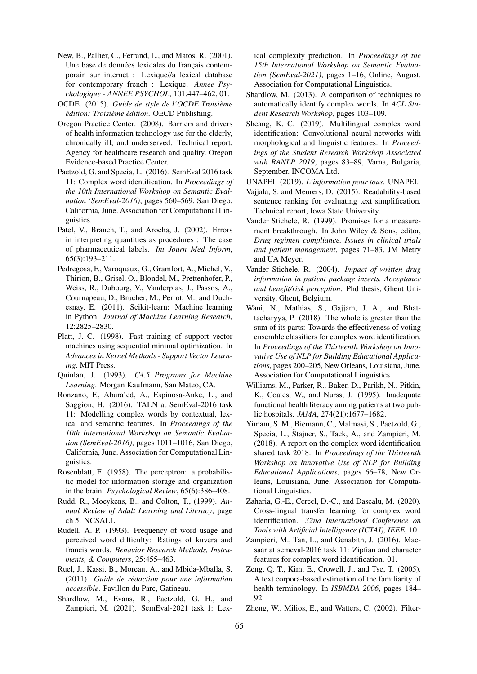- <span id="page-10-25"></span>New, B., Pallier, C., Ferrand, L., and Matos, R. (2001). Une base de données lexicales du français contemporain sur internet : Lexique//a lexical database for contemporary french : Lexique. *Annee Psychologique - ANNEE PSYCHOL*, 101:447–462, 01.
- <span id="page-10-23"></span>OCDE. (2015). *Guide de style de l'OCDE Troisieme ` edition: Troisi ´ eme ` edition ´* . OECD Publishing.
- <span id="page-10-5"></span>Oregon Practice Center. (2008). Barriers and drivers of health information technology use for the elderly, chronically ill, and underserved. Technical report, Agency for healthcare research and quality. Oregon Evidence-based Practice Center.
- <span id="page-10-8"></span>Paetzold, G. and Specia, L. (2016). SemEval 2016 task 11: Complex word identification. In *Proceedings of the 10th International Workshop on Semantic Evaluation (SemEval-2016)*, pages 560–569, San Diego, California, June. Association for Computational Linguistics.
- <span id="page-10-2"></span>Patel, V., Branch, T., and Arocha, J. (2002). Errors in interpreting quantities as procedures : The case of pharmaceutical labels. *Int Journ Med Inform*, 65(3):193–211.
- <span id="page-10-16"></span>Pedregosa, F., Varoquaux, G., Gramfort, A., Michel, V., Thirion, B., Grisel, O., Blondel, M., Prettenhofer, P., Weiss, R., Dubourg, V., Vanderplas, J., Passos, A., Cournapeau, D., Brucher, M., Perrot, M., and Duchesnay, E. (2011). Scikit-learn: Machine learning in Python. *Journal of Machine Learning Research*, 12:2825–2830.
- <span id="page-10-17"></span>Platt, J. C. (1998). Fast training of support vector machines using sequential minimal optimization. In *Advances in Kernel Methods - Support Vector Learning*. MIT Press.
- <span id="page-10-18"></span>Quinlan, J. (1993). *C4.5 Programs for Machine Learning*. Morgan Kaufmann, San Mateo, CA.
- <span id="page-10-20"></span>Ronzano, F., Abura'ed, A., Espinosa-Anke, L., and Saggion, H. (2016). TALN at SemEval-2016 task 11: Modelling complex words by contextual, lexical and semantic features. In *Proceedings of the 10th International Workshop on Semantic Evaluation (SemEval-2016)*, pages 1011–1016, San Diego, California, June. Association for Computational Linguistics.
- <span id="page-10-19"></span>Rosenblatt, F. (1958). The perceptron: a probabilistic model for information storage and organization in the brain. *Psychological Review*, 65(6):386–408.
- <span id="page-10-4"></span>Rudd, R., Moeykens, B., and Colton, T., (1999). *Annual Review of Adult Learning and Literacy*, page ch 5. NCSALL.
- <span id="page-10-13"></span>Rudell, A. P. (1993). Frequency of word usage and perceived word difficulty: Ratings of kuvera and francis words. *Behavior Research Methods, Instruments, & Computers*, 25:455–463.
- <span id="page-10-22"></span>Ruel, J., Kassi, B., Moreau, A., and Mbida-Mballa, S. (2011). *Guide de redaction pour une information ´ accessible*. Pavillon du Parc, Gatineau.
- <span id="page-10-15"></span>Shardlow, M., Evans, R., Paetzold, G. H., and Zampieri, M. (2021). SemEval-2021 task 1: Lex-

ical complexity prediction. In *Proceedings of the 15th International Workshop on Semantic Evaluation (SemEval-2021)*, pages 1–16, Online, August. Association for Computational Linguistics.

- <span id="page-10-10"></span>Shardlow, M. (2013). A comparison of techniques to automatically identify complex words. In *ACL Student Research Workshop*, pages 103–109.
- <span id="page-10-11"></span>Sheang, K. C. (2019). Multilingual complex word identification: Convolutional neural networks with morphological and linguistic features. In *Proceedings of the Student Research Workshop Associated with RANLP 2019*, pages 83–89, Varna, Bulgaria, September. INCOMA Ltd.
- <span id="page-10-24"></span>UNAPEI. (2019). *L'information pour tous*. UNAPEI.
- <span id="page-10-7"></span>Vajjala, S. and Meurers, D. (2015). Readability-based sentence ranking for evaluating text simplification. Technical report, Iowa State University.
- <span id="page-10-1"></span>Vander Stichele, R. (1999). Promises for a measurement breakthrough. In John Wiley & Sons, editor, *Drug regimen compliance. Issues in clinical trials and patient management*, pages 71–83. JM Metry and UA Meyer.
- <span id="page-10-0"></span>Vander Stichele, R. (2004). *Impact of written drug information in patient package inserts. Acceptance and benefit/risk perception*. Phd thesis, Ghent University, Ghent, Belgium.
- <span id="page-10-26"></span>Wani, N., Mathias, S., Gajjam, J. A., and Bhattacharyya, P. (2018). The whole is greater than the sum of its parts: Towards the effectiveness of voting ensemble classifiers for complex word identification. In *Proceedings of the Thirteenth Workshop on Innovative Use of NLP for Building Educational Applications*, pages 200–205, New Orleans, Louisiana, June. Association for Computational Linguistics.
- <span id="page-10-3"></span>Williams, M., Parker, R., Baker, D., Parikh, N., Pitkin, K., Coates, W., and Nurss, J. (1995). Inadequate functional health literacy among patients at two public hospitals. *JAMA*, 274(21):1677–1682.
- <span id="page-10-9"></span>Yimam, S. M., Biemann, C., Malmasi, S., Paetzold, G., Specia, L., Štajner, S., Tack, A., and Zampieri, M. (2018). A report on the complex word identification shared task 2018. In *Proceedings of the Thirteenth Workshop on Innovative Use of NLP for Building Educational Applications*, pages 66–78, New Orleans, Louisiana, June. Association for Computational Linguistics.
- <span id="page-10-14"></span>Zaharia, G.-E., Cercel, D.-C., and Dascalu, M. (2020). Cross-lingual transfer learning for complex word identification. *32nd International Conference on Tools with Artificial Intelligence (ICTAI), IEEE*, 10.
- <span id="page-10-21"></span>Zampieri, M., Tan, L., and Genabith, J. (2016). Macsaar at semeval-2016 task 11: Zipfian and character features for complex word identification. 01.
- <span id="page-10-12"></span>Zeng, Q. T., Kim, E., Crowell, J., and Tse, T. (2005). A text corpora-based estimation of the familiarity of health terminology. In *ISBMDA 2006*, pages 184– 92.
- <span id="page-10-6"></span>Zheng, W., Milios, E., and Watters, C. (2002). Filter-